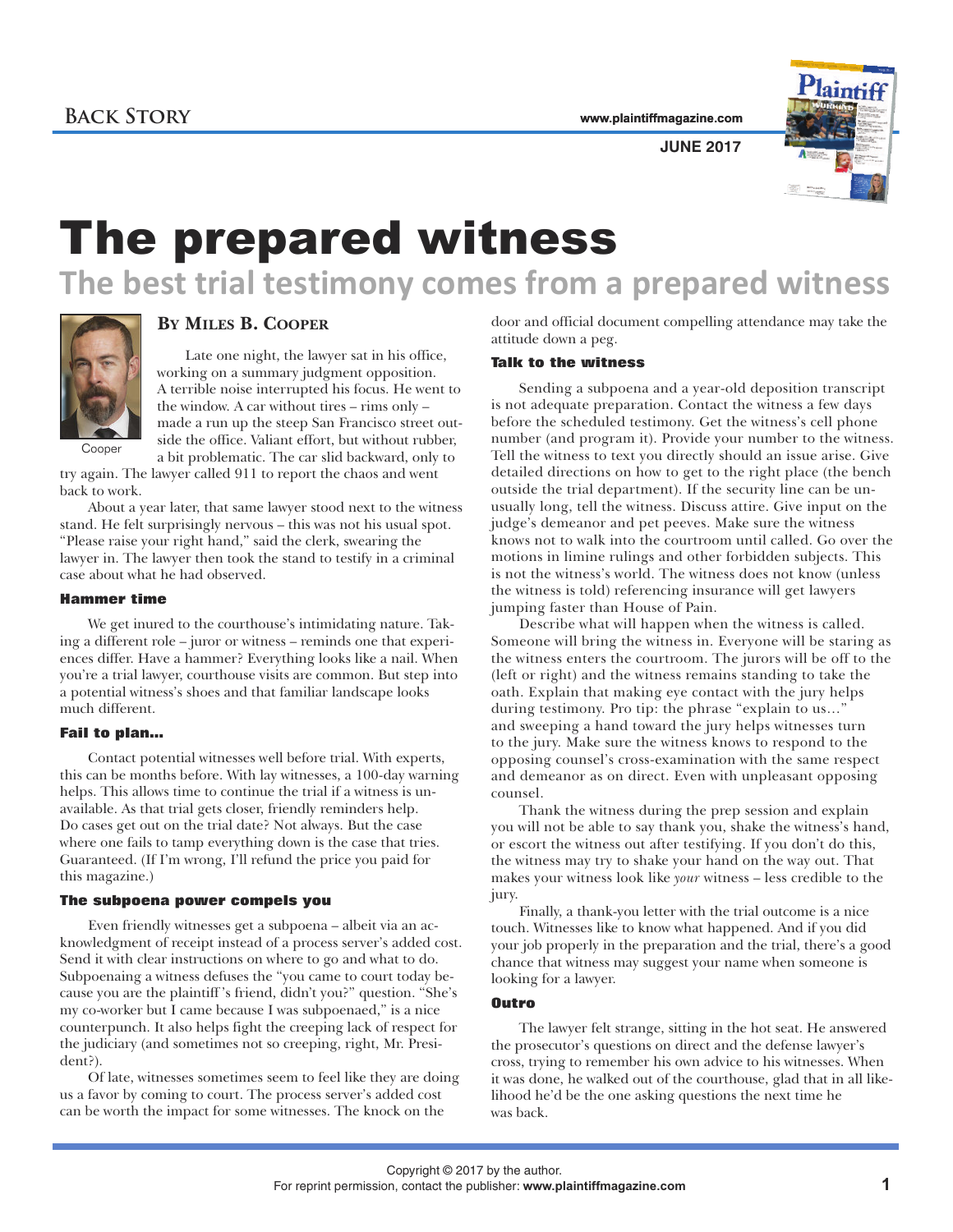**www.plaintiffmagazine.com**



**JUNE 2017**

# The prepared witness

## **The best trial testimony comes from a prepared witness**



### **BY MILES B. COOPER**

Late one night, the lawyer sat in his office, working on a summary judgment opposition. A terrible noise interrupted his focus. He went to the window. A car without tires – rims only – made a run up the steep San Francisco street outside the office. Valiant effort, but without rubber, a bit problematic. The car slid backward, only to

Cooper

try again. The lawyer called 911 to report the chaos and went back to work.

About a year later, that same lawyer stood next to the witness stand. He felt surprisingly nervous – this was not his usual spot. "Please raise your right hand," said the clerk, swearing the lawyer in. The lawyer then took the stand to testify in a criminal case about what he had observed.

#### **Hammer time**

We get inured to the courthouse's intimidating nature. Taking a different role – juror or witness – reminds one that experiences differ. Have a hammer? Everything looks like a nail. When you're a trial lawyer, courthouse visits are common. But step into a potential witness's shoes and that familiar landscape looks much different.

#### **Fail to plan…**

Contact potential witnesses well before trial. With experts, this can be months before. With lay witnesses, a 100-day warning helps. This allows time to continue the trial if a witness is unavailable. As that trial gets closer, friendly reminders help. Do cases get out on the trial date? Not always. But the case where one fails to tamp everything down is the case that tries. Guaranteed. (If I'm wrong, I'll refund the price you paid for this magazine.)

#### **The subpoena power compels you**

Even friendly witnesses get a subpoena – albeit via an acknowledgment of receipt instead of a process server's added cost. Send it with clear instructions on where to go and what to do. Subpoenaing a witness defuses the "you came to court today because you are the plaintiff 's friend, didn't you?" question. "She's my co-worker but I came because I was subpoenaed," is a nice counterpunch. It also helps fight the creeping lack of respect for the judiciary (and sometimes not so creeping, right, Mr. President?).

Of late, witnesses sometimes seem to feel like they are doing us a favor by coming to court. The process server's added cost can be worth the impact for some witnesses. The knock on the

door and official document compelling attendance may take the attitude down a peg.

#### **Talk to the witness**

Sending a subpoena and a year-old deposition transcript is not adequate preparation. Contact the witness a few days before the scheduled testimony. Get the witness's cell phone number (and program it). Provide your number to the witness. Tell the witness to text you directly should an issue arise. Give detailed directions on how to get to the right place (the bench outside the trial department). If the security line can be unusually long, tell the witness. Discuss attire. Give input on the judge's demeanor and pet peeves. Make sure the witness knows not to walk into the courtroom until called. Go over the motions in limine rulings and other forbidden subjects. This is not the witness's world. The witness does not know (unless the witness is told) referencing insurance will get lawyers jumping faster than House of Pain.

Describe what will happen when the witness is called. Someone will bring the witness in. Everyone will be staring as the witness enters the courtroom. The jurors will be off to the (left or right) and the witness remains standing to take the oath. Explain that making eye contact with the jury helps during testimony. Pro tip: the phrase "explain to us…" and sweeping a hand toward the jury helps witnesses turn to the jury. Make sure the witness knows to respond to the opposing counsel's cross-examination with the same respect and demeanor as on direct. Even with unpleasant opposing counsel.

Thank the witness during the prep session and explain you will not be able to say thank you, shake the witness's hand, or escort the witness out after testifying. If you don't do this, the witness may try to shake your hand on the way out. That makes your witness look like *your* witness – less credible to the jury.

Finally, a thank-you letter with the trial outcome is a nice touch. Witnesses like to know what happened. And if you did your job properly in the preparation and the trial, there's a good chance that witness may suggest your name when someone is looking for a lawyer.

#### **Outro**

The lawyer felt strange, sitting in the hot seat. He answered the prosecutor's questions on direct and the defense lawyer's cross, trying to remember his own advice to his witnesses. When it was done, he walked out of the courthouse, glad that in all likelihood he'd be the one asking questions the next time he was back.